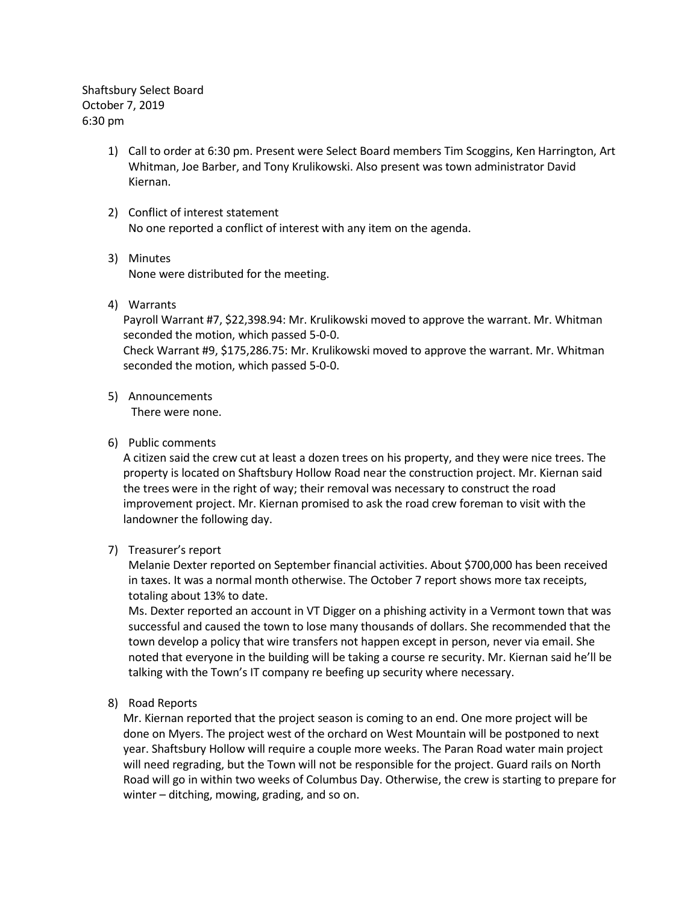Shaftsbury Select Board October 7, 2019 6:30 pm

- 1) Call to order at 6:30 pm. Present were Select Board members Tim Scoggins, Ken Harrington, Art Whitman, Joe Barber, and Tony Krulikowski. Also present was town administrator David Kiernan.
- 2) Conflict of interest statement No one reported a conflict of interest with any item on the agenda.
- 3) Minutes None were distributed for the meeting.
- 4) Warrants

Payroll Warrant #7, \$22,398.94: Mr. Krulikowski moved to approve the warrant. Mr. Whitman seconded the motion, which passed 5-0-0.

Check Warrant #9, \$175,286.75: Mr. Krulikowski moved to approve the warrant. Mr. Whitman seconded the motion, which passed 5-0-0.

5) Announcements

There were none.

6) Public comments

A citizen said the crew cut at least a dozen trees on his property, and they were nice trees. The property is located on Shaftsbury Hollow Road near the construction project. Mr. Kiernan said the trees were in the right of way; their removal was necessary to construct the road improvement project. Mr. Kiernan promised to ask the road crew foreman to visit with the landowner the following day.

7) Treasurer's report

Melanie Dexter reported on September financial activities. About \$700,000 has been received in taxes. It was a normal month otherwise. The October 7 report shows more tax receipts, totaling about 13% to date.

Ms. Dexter reported an account in VT Digger on a phishing activity in a Vermont town that was successful and caused the town to lose many thousands of dollars. She recommended that the town develop a policy that wire transfers not happen except in person, never via email. She noted that everyone in the building will be taking a course re security. Mr. Kiernan said he'll be talking with the Town's IT company re beefing up security where necessary.

8) Road Reports

Mr. Kiernan reported that the project season is coming to an end. One more project will be done on Myers. The project west of the orchard on West Mountain will be postponed to next year. Shaftsbury Hollow will require a couple more weeks. The Paran Road water main project will need regrading, but the Town will not be responsible for the project. Guard rails on North Road will go in within two weeks of Columbus Day. Otherwise, the crew is starting to prepare for winter – ditching, mowing, grading, and so on.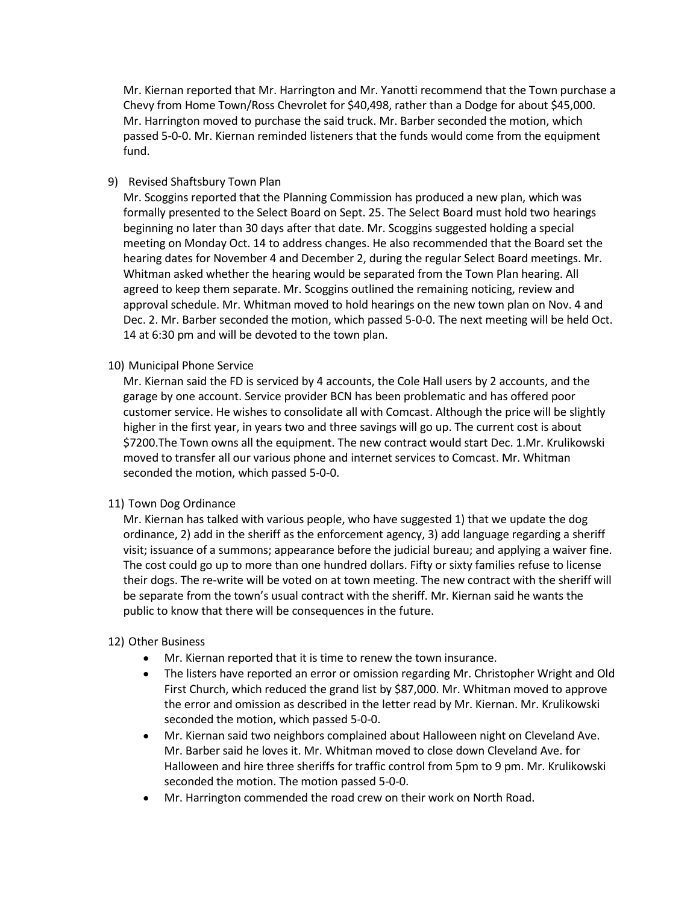Mr. Kiernan reported that Mr. Harrington and Mr. Yanotti recommend that the Town purchase a Chevy from Home Town/Ross Chevrolet for \$40,498, rather than a Dodge for about \$45,000. Mr. Harrington moved to purchase the said truck. Mr. Barber seconded the motion, which passed 5-0-0. Mr. Kiernan reminded listeners that the funds would come from the equipment fund.

## 9) Revised Shaftsbury Town Plan

Mr. Scoggins reported that the Planning Commission has produced a new plan, which was formally presented to the Select Board on Sept. 25. The Select Board must hold two hearings beginning no later than 30 days after that date. Mr. Scoggins suggested holding a special meeting on Monday Oct. 14 to address changes. He also recommended that the Board set the hearing dates for November 4 and December 2, during the regular Select Board meetings. Mr. Whitman asked whether the hearing would be separated from the Town Plan hearing. All agreed to keep them separate. Mr. Scoggins outlined the remaining noticing, review and approval schedule. Mr. Whitman moved to hold hearings on the new town plan on Nov. 4 and Dec. 2. Mr. Barber seconded the motion, which passed 5-0-0. The next meeting will be held Oct. 14 at 6:30 pm and will be devoted to the town plan.

## 10) Municipal Phone Service

Mr. Kiernan said the FD is serviced by 4 accounts, the Cole Hall users by 2 accounts, and the garage by one account. Service provider BCN has been problematic and has offered poor customer service. He wishes to consolidate all with Comcast. Although the price will be slightly higher in the first year, in years two and three savings will go up. The current cost is about \$7200.The Town owns all the equipment. The new contract would start Dec. 1.Mr. Krulikowski moved to transfer all our various phone and internet services to Comcast. Mr. Whitman seconded the motion, which passed 5-0-0.

## 11) Town Dog Ordinance

Mr. Kiernan has talked with various people, who have suggested 1) that we update the dog ordinance, 2) add in the sheriff as the enforcement agency, 3) add language regarding a sheriff visit; issuance of a summons; appearance before the judicial bureau; and applying a waiver fine. The cost could go up to more than one hundred dollars. Fifty or sixty families refuse to license their dogs. The re-write will be voted on at town meeting. The new contract with the sheriff will be separate from the town's usual contract with the sheriff. Mr. Kiernan said he wants the public to know that there will be consequences in the future.

## 12) Other Business

- Mr. Kiernan reported that it is time to renew the town insurance.
- The listers have reported an error or omission regarding Mr. Christopher Wright and Old First Church, which reduced the grand list by \$87,000. Mr. Whitman moved to approve the error and omission as described in the letter read by Mr. Kiernan. Mr. Krulikowski seconded the motion, which passed 5-0-0.
- Mr. Kiernan said two neighbors complained about Halloween night on Cleveland Ave. Mr. Barber said he loves it. Mr. Whitman moved to close down Cleveland Ave. for Halloween and hire three sheriffs for traffic control from 5pm to 9 pm. Mr. Krulikowski seconded the motion. The motion passed 5-0-0.
- Mr. Harrington commended the road crew on their work on North Road.